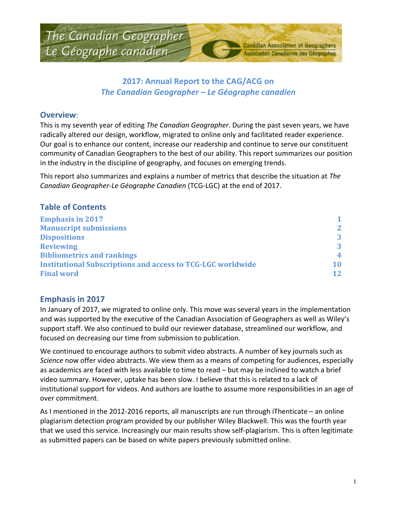## **2017: Annual Report to the CAG/ACG on** *The Canadian Geographer – Le Géographe canadien*

#### **Overview**:

This is my seventh year of editing *The Canadian Geographer*. During the past seven years, we have radically altered our design, workflow, migrated to online only and facilitated reader experience. Our goal is to enhance our content, increase our readership and continue to serve our constituent community of Canadian Geographers to the best of our ability. This report summarizes our position in the industry in the discipline of geography, and focuses on emerging trends.

This report also summarizes and explains a number of metrics that describe the situation at *The Canadian Geographer-Le Géographe Canadien* (TCG-LGC) at the end of 2017.

## **Table of Contents**

| <b>Emphasis in 2017</b>                                            | 1.              |
|--------------------------------------------------------------------|-----------------|
| <b>Manuscript submissions</b>                                      | $\mathbf{2}$    |
| <b>Dispositions</b>                                                | 3               |
| <b>Reviewing</b>                                                   | 3               |
| <b>Bibliometrics and rankings</b>                                  | 4               |
| <b>Institutional Subscriptions and access to TCG-LGC worldwide</b> | 10              |
| <b>Final word</b>                                                  | 12 <sub>1</sub> |

#### **Emphasis in 2017**

In January of 2017, we migrated to online only. This move was several years in the implementation and was supported by the executive of the Canadian Association of Geographers as well as Wiley's support staff. We also continued to build our reviewer database, streamlined our workflow, and focused on decreasing our time from submission to publication.

We continued to encourage authors to submit video abstracts. A number of key journals such as *Science* now offer video abstracts. We view them as a means of competing for audiences, especially as academics are faced with less available to time to read – but may be inclined to watch a brief video summary. However, uptake has been slow. I believe that this is related to a lack of institutional support for videos. And authors are loathe to assume more responsibilities in an age of over commitment.

As I mentioned in the 2012-2016 reports, all manuscripts are run through iThenticate – an online plagiarism detection program provided by our publisher Wiley Blackwell. This was the fourth year that we used this service. Increasingly our main results show self-plagiarism. This is often legitimate as submitted papers can be based on white papers previously submitted online.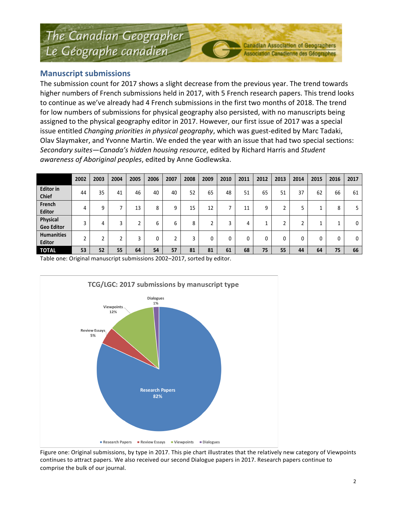#### **Manuscript submissions**

The submission count for 2017 shows a slight decrease from the previous year. The trend towards higher numbers of French submissions held in 2017, with 5 French research papers. This trend looks to continue as we've already had 4 French submissions in the first two months of 2018. The trend for low numbers of submissions for physical geography also persisted, with no manuscripts being assigned to the physical geography editor in 2017. However, our first issue of 2017 was a special issue entitled *Changing priorities in physical geography*, which was guest-edited by Marc Tadaki, Olav Slaymaker, and Yvonne Martin. We ended the year with an issue that had two special sections: *Secondary suites—Canada's hidden housing resource*, edited by Richard Harris and *Student awareness of Aboriginal peoples*, edited by Anne Godlewska.

|                                    | 2002 | 2003 | 2004 | 2005 | 2006 | 2007 | 2008 | 2009 | 2010 | 2011 | 2012 | 2013 | 2014 | 2015 | 2016 | 2017 |
|------------------------------------|------|------|------|------|------|------|------|------|------|------|------|------|------|------|------|------|
| <b>Editor</b> in<br><b>Chief</b>   | 44   | 35   | 41   | 46   | 40   | 40   | 52   | 65   | 48   | 51   | 65   | 51   | 37   | 62   | 66   | 61   |
| French<br><b>Editor</b>            | 4    | q    |      | 13   | 8    | 9    | 15   | 12   | ⇁    | 11   | 9    |      |      |      | 8    | 5    |
| Physical<br><b>Geo Editor</b>      | 3    | 4    |      |      | b    | 6    | 8    | 2    | 3    | 4    |      |      |      |      |      | 0    |
| <b>Humanities</b><br><b>Editor</b> | n.   | h    |      | h    | 0    |      | 3    | 0    | 0    | 0    |      |      |      |      | 0    | 0    |
| <b>TOTAL</b>                       | 53   | 52   | 55   | 64   | 54   | 57   | 81   | 81   | 61   | 68   | 75   | 55   | 44   | 64   | 75   | 66   |

Table one: Original manuscript submissions 2002-2017, sorted by editor.



Figure one: Original submissions, by type in 2017. This pie chart illustrates that the relatively new category of Viewpoints continues to attract papers. We also received our second Dialogue papers in 2017. Research papers continue to comprise the bulk of our journal.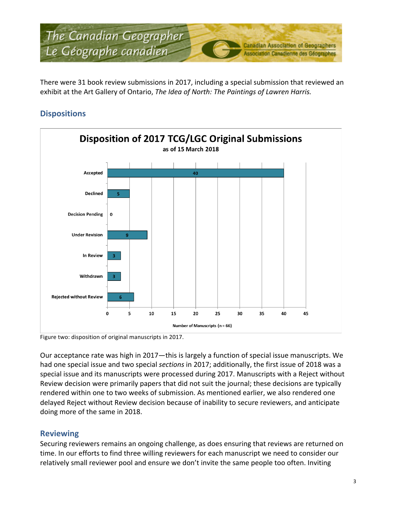

There were 31 book review submissions in 2017, including a special submission that reviewed an exhibit at the Art Gallery of Ontario, *The Idea of North: The Paintings of Lawren Harris.* 

## **Dispositions**



Figure two: disposition of original manuscripts in 2017.

Our acceptance rate was high in 2017—this is largely a function of special issue manuscripts. We had one special issue and two special *sections* in 2017; additionally, the first issue of 2018 was a special issue and its manuscripts were processed during 2017. Manuscripts with a Reject without Review decision were primarily papers that did not suit the journal; these decisions are typically rendered within one to two weeks of submission. As mentioned earlier, we also rendered one delayed Reject without Review decision because of inability to secure reviewers, and anticipate doing more of the same in 2018.

#### **Reviewing**

Securing reviewers remains an ongoing challenge, as does ensuring that reviews are returned on time. In our efforts to find three willing reviewers for each manuscript we need to consider our relatively small reviewer pool and ensure we don't invite the same people too often. Inviting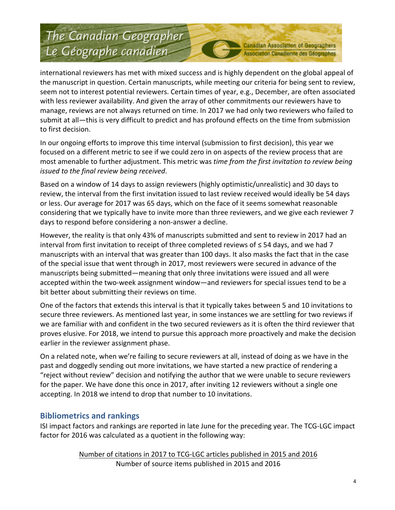**Canadian Association of Geographers** Association Canadienne des Géographes

international reviewers has met with mixed success and is highly dependent on the global appeal of the manuscript in question. Certain manuscripts, while meeting our criteria for being sent to review, seem not to interest potential reviewers. Certain times of year, e.g., December, are often associated with less reviewer availability. And given the array of other commitments our reviewers have to manage, reviews are not always returned on time. In 2017 we had only two reviewers who failed to submit at all—this is very difficult to predict and has profound effects on the time from submission to first decision.

In our ongoing efforts to improve this time interval (submission to first decision), this year we focused on a different metric to see if we could zero in on aspects of the review process that are most amenable to further adjustment. This metric was *time from the first invitation to review being issued to the final review being received.* 

Based on a window of 14 days to assign reviewers (highly optimistic/unrealistic) and 30 days to review, the interval from the first invitation issued to last review received would ideally be 54 days or less. Our average for 2017 was 65 days, which on the face of it seems somewhat reasonable considering that we typically have to invite more than three reviewers, and we give each reviewer 7 days to respond before considering a non-answer a decline.

However, the reality is that only 43% of manuscripts submitted and sent to review in 2017 had an interval from first invitation to receipt of three completed reviews of  $\leq$  54 days, and we had 7 manuscripts with an interval that was greater than 100 days. It also masks the fact that in the case of the special issue that went through in 2017, most reviewers were secured in advance of the manuscripts being submitted—meaning that only three invitations were issued and all were accepted within the two-week assignment window—and reviewers for special issues tend to be a bit better about submitting their reviews on time.

One of the factors that extends this interval is that it typically takes between 5 and 10 invitations to secure three reviewers. As mentioned last year, in some instances we are settling for two reviews if we are familiar with and confident in the two secured reviewers as it is often the third reviewer that proves elusive. For 2018, we intend to pursue this approach more proactively and make the decision earlier in the reviewer assignment phase.

On a related note, when we're failing to secure reviewers at all, instead of doing as we have in the past and doggedly sending out more invitations, we have started a new practice of rendering a "reject without review" decision and notifying the author that we were unable to secure reviewers for the paper. We have done this once in 2017, after inviting 12 reviewers without a single one accepting. In 2018 we intend to drop that number to 10 invitations.

## **Bibliometrics and rankings**

ISI impact factors and rankings are reported in late June for the preceding year. The TCG-LGC impact factor for 2016 was calculated as a quotient in the following way:

> Number of citations in 2017 to TCG-LGC articles published in 2015 and 2016 Number of source items published in 2015 and 2016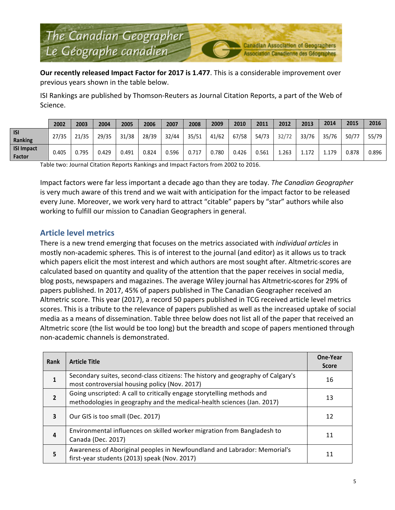**Our recently released Impact Factor for 2017 is 1.477**. This is a considerable improvement over previous years shown in the table below.

ISI Rankings are published by Thomson-Reuters as Journal Citation Reports, a part of the Web of Science.

|                                    | 2002  | 2003  | 2004  | 2005  | 2006  | 2007  | 2008  | 2009  | 2010  | 2011  | 2012  | 2013  | 2014  | 2015  | 2016  |
|------------------------------------|-------|-------|-------|-------|-------|-------|-------|-------|-------|-------|-------|-------|-------|-------|-------|
| <b>ISI</b><br><b>Ranking</b>       | 27/35 | 21/35 | 29/35 | 31/38 | 28/39 | 32/44 | 35/51 | 41/62 | 67/58 | 54/73 | 32/72 | 33/76 | 35/76 | 50/77 | 55/79 |
| <b>ISI Impact</b><br><b>Factor</b> | 0.405 | 0.795 | 0.429 | 0.491 | 0.824 | 0.596 | 0.717 | 0.780 | 0.426 | 0.561 | 1.263 | 1.172 | 1.179 | 0.878 | 0.896 |

Table two: Journal Citation Reports Rankings and Impact Factors from 2002 to 2016.

Impact factors were far less important a decade ago than they are today. *The Canadian Geographer* is very much aware of this trend and we wait with anticipation for the impact factor to be released every June. Moreover, we work very hard to attract "citable" papers by "star" authors while also working to fulfill our mission to Canadian Geographers in general.

### **Article level metrics**

There is a new trend emerging that focuses on the metrics associated with *individual articles* in mostly non-academic spheres. This is of interest to the journal (and editor) as it allows us to track which papers elicit the most interest and which authors are most sought after. Altmetric scores are calculated based on quantity and quality of the attention that the paper receives in social media, blog posts, newspapers and magazines. The average Wiley journal has Altmetric-scores for 29% of papers published. In 2017, 45% of papers published in The Canadian Geographer received an Altmetric score. This year (2017), a record 50 papers published in TCG received article level metrics scores. This is a tribute to the relevance of papers published as well as the increased uptake of social media as a means of dissemination. Table three below does not list all of the paper that received an Altmetric score (the list would be too long) but the breadth and scope of papers mentioned through non-academic channels is demonstrated.

| <b>Rank</b>    | <b>Article Title</b>                                                                                                                             | One-Year<br><b>Score</b> |
|----------------|--------------------------------------------------------------------------------------------------------------------------------------------------|--------------------------|
| $\mathbf{1}$   | Secondary suites, second-class citizens: The history and geography of Calgary's<br>most controversial housing policy (Nov. 2017)                 | 16                       |
| $\overline{2}$ | Going unscripted: A call to critically engage storytelling methods and<br>methodologies in geography and the medical-health sciences (Jan. 2017) | 13                       |
| 3              | Our GIS is too small (Dec. 2017)                                                                                                                 | 12                       |
| 4              | Environmental influences on skilled worker migration from Bangladesh to<br>Canada (Dec. 2017)                                                    | 11                       |
| 5              | Awareness of Aboriginal peoples in Newfoundland and Labrador: Memorial's<br>first-year students (2013) speak (Nov. 2017)                         | 11                       |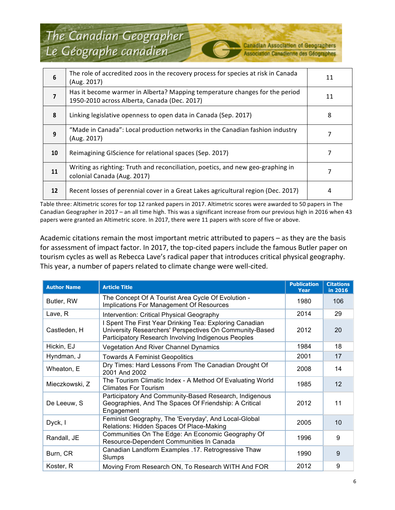**Canadian Association of Geographers** Association Canadienne des Géographes

| 6                        | The role of accredited zoos in the recovery process for species at risk in Canada<br>(Aug. 2017)                            | 11 |
|--------------------------|-----------------------------------------------------------------------------------------------------------------------------|----|
| $\overline{\phantom{a}}$ | Has it become warmer in Alberta? Mapping temperature changes for the period<br>1950-2010 across Alberta, Canada (Dec. 2017) | 11 |
| 8                        | Linking legislative openness to open data in Canada (Sep. 2017)                                                             | 8  |
| 9                        | "Made in Canada": Local production networks in the Canadian fashion industry<br>(Aug. 2017)                                 |    |
| 10                       | Reimagining GIScience for relational spaces (Sep. 2017)                                                                     |    |
| 11                       | Writing as righting: Truth and reconciliation, poetics, and new geo-graphing in<br>colonial Canada (Aug. 2017)              |    |
| 12                       | Recent losses of perennial cover in a Great Lakes agricultural region (Dec. 2017)                                           | 4  |

Table three: Altimetric scores for top 12 ranked papers in 2017. Altimetric scores were awarded to 50 papers in The Canadian Geographer in 2017 – an all time high. This was a significant increase from our previous high in 2016 when 43 papers were granted an Altimetric score. In 2017, there were 11 papers with score of five or above.

Academic citations remain the most important metric attributed to papers  $-$  as they are the basis for assessment of impact factor. In 2017, the top-cited papers include the famous Butler paper on tourism cycles as well as Rebecca Lave's radical paper that introduces critical physical geography. This year, a number of papers related to climate change were well-cited.

| <b>Author Name</b> | <b>Article Title</b>                                                                                                                                                      | <b>Publication</b><br>Year | <b>Citations</b><br>in 2016 |
|--------------------|---------------------------------------------------------------------------------------------------------------------------------------------------------------------------|----------------------------|-----------------------------|
| Butler, RW         | The Concept Of A Tourist Area Cycle Of Evolution -<br>Implications For Management Of Resources                                                                            | 1980                       | 106                         |
| Lave, R            | Intervention: Critical Physical Geography                                                                                                                                 | 2014                       | 29                          |
| Castleden, H       | I Spent The First Year Drinking Tea: Exploring Canadian<br>University Researchers' Perspectives On Community-Based<br>Participatory Research Involving Indigenous Peoples | 2012                       | 20                          |
| Hickin, EJ         | Vegetation And River Channel Dynamics                                                                                                                                     | 1984                       | 18                          |
| Hyndman, J         | <b>Towards A Feminist Geopolitics</b>                                                                                                                                     | 2001                       | 17                          |
| Wheaton, E         | Dry Times: Hard Lessons From The Canadian Drought Of<br>2001 And 2002                                                                                                     | 2008                       | 14                          |
| Mieczkowski, Z     | The Tourism Climatic Index - A Method Of Evaluating World<br><b>Climates For Tourism</b>                                                                                  | 1985                       | 12                          |
| De Leeuw, S        | Participatory And Community-Based Research, Indigenous<br>Geographies, And The Spaces Of Friendship: A Critical<br>Engagement                                             | 2012                       | 11                          |
| Dyck, I            | Feminist Geography, The 'Everyday', And Local-Global<br>Relations: Hidden Spaces Of Place-Making                                                                          | 2005                       | 10                          |
| Randall, JE        | Communities On The Edge: An Economic Geography Of<br>Resource-Dependent Communities In Canada                                                                             | 1996                       | 9                           |
| Burn, CR           | Canadian Landform Examples .17. Retrogressive Thaw<br>Slumps                                                                                                              | 1990                       | 9                           |
| Koster, R          | Moving From Research ON, To Research WITH And FOR                                                                                                                         | 2012                       | 9                           |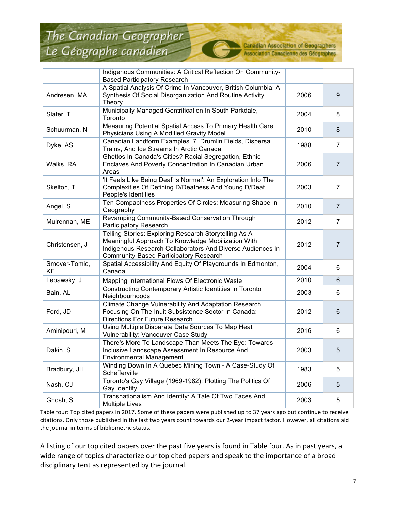**Canadian Association of Geographers** Association Canadienne des Géographes

|                     | Indigenous Communities: A Critical Reflection On Community-<br><b>Based Participatory Research</b>                                                                                                                  |      |                  |
|---------------------|---------------------------------------------------------------------------------------------------------------------------------------------------------------------------------------------------------------------|------|------------------|
| Andresen, MA        | A Spatial Analysis Of Crime In Vancouver, British Columbia: A<br>Synthesis Of Social Disorganization And Routine Activity<br>Theory                                                                                 | 2006 | $\boldsymbol{9}$ |
| Slater, T           | Municipally Managed Gentrification In South Parkdale,<br>Toronto                                                                                                                                                    | 2004 | 8                |
| Schuurman, N        | Measuring Potential Spatial Access To Primary Health Care<br>Physicians Using A Modified Gravity Model                                                                                                              | 2010 | 8                |
| Dyke, AS            | Canadian Landform Examples .7. Drumlin Fields, Dispersal<br>Trains, And Ice Streams In Arctic Canada                                                                                                                | 1988 | 7                |
| Walks, RA           | Ghettos In Canada's Cities? Racial Segregation, Ethnic<br>Enclaves And Poverty Concentration In Canadian Urban<br>Areas                                                                                             | 2006 | $\overline{7}$   |
| Skelton, T          | 'It Feels Like Being Deaf Is Normal': An Exploration Into The<br>Complexities Of Defining D/Deafness And Young D/Deaf<br>People's Identities                                                                        | 2003 | $\overline{7}$   |
| Angel, S            | Ten Compactness Properties Of Circles: Measuring Shape In<br>Geography                                                                                                                                              | 2010 | $\overline{7}$   |
| Mulrennan, ME       | Revamping Community-Based Conservation Through<br>Participatory Research                                                                                                                                            | 2012 | $\overline{7}$   |
| Christensen, J      | Telling Stories: Exploring Research Storytelling As A<br>Meaningful Approach To Knowledge Mobilization With<br>Indigenous Research Collaborators And Diverse Audiences In<br>Community-Based Participatory Research | 2012 | $\overline{7}$   |
| Smoyer-Tomic,<br>KE | Spatial Accessibility And Equity Of Playgrounds In Edmonton,<br>Canada                                                                                                                                              | 2004 | 6                |
| Lepawsky, J         | Mapping International Flows Of Electronic Waste                                                                                                                                                                     | 2010 | 6                |
| Bain, AL            | Constructing Contemporary Artistic Identities In Toronto<br>Neighbourhoods                                                                                                                                          | 2003 | 6                |
| Ford, JD            | Climate Change Vulnerability And Adaptation Research<br>Focusing On The Inuit Subsistence Sector In Canada:<br><b>Directions For Future Research</b>                                                                | 2012 | 6                |
| Aminipouri, M       | Using Multiple Disparate Data Sources To Map Heat<br>Vulnerability: Vancouver Case Study                                                                                                                            | 2016 | 6                |
| Dakin, S            | There's More To Landscape Than Meets The Eye: Towards<br>Inclusive Landscape Assessment In Resource And<br><b>Environmental Management</b>                                                                          | 2003 | 5                |
| Bradbury, JH        | Winding Down In A Quebec Mining Town - A Case-Study Of<br>Schefferville                                                                                                                                             | 1983 | 5                |
| Nash, CJ            | Toronto's Gay Village (1969-1982): Plotting The Politics Of<br>Gay Identity                                                                                                                                         | 2006 | 5                |
| Ghosh, S            | Transnationalism And Identity: A Tale Of Two Faces And<br><b>Multiple Lives</b>                                                                                                                                     | 2003 | 5                |

Table four: Top cited papers in 2017. Some of these papers were published up to 37 years ago but continue to receive citations. Only those published in the last two years count towards our 2-year impact factor. However, all citations aid the journal in terms of bibliometric status.

A listing of our top cited papers over the past five years is found in Table four. As in past years, a wide range of topics characterize our top cited papers and speak to the importance of a broad disciplinary tent as represented by the journal.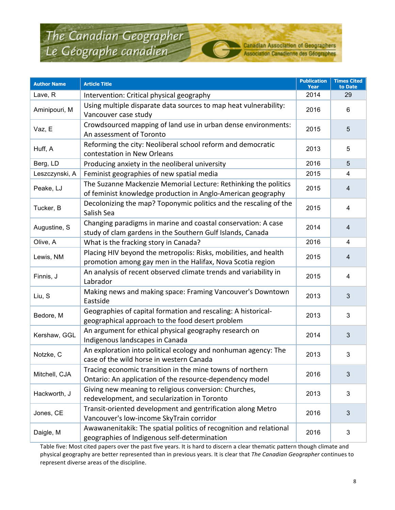**Canadian Association of Geographers** Association Canadienne des Géographes

| <b>Author Name</b> | <b>Article Title</b>                                                                                                            | <b>Publication</b><br><b>Year</b> | <b>Times Cited</b><br>to Date |
|--------------------|---------------------------------------------------------------------------------------------------------------------------------|-----------------------------------|-------------------------------|
| Lave, R            | Intervention: Critical physical geography                                                                                       | 2014                              | 29                            |
| Aminipouri, M      | Using multiple disparate data sources to map heat vulnerability:<br>Vancouver case study                                        | 2016                              | 6                             |
| Vaz, E             | Crowdsourced mapping of land use in urban dense environments:<br>An assessment of Toronto                                       | 2015                              | 5                             |
| Huff, A            | Reforming the city: Neoliberal school reform and democratic<br>contestation in New Orleans                                      | 2013                              | 5                             |
| Berg, LD           | Producing anxiety in the neoliberal university                                                                                  | 2016                              | 5                             |
| Leszczynski, A     | Feminist geographies of new spatial media                                                                                       | 2015                              | 4                             |
| Peake, LJ          | The Suzanne Mackenzie Memorial Lecture: Rethinking the politics<br>of feminist knowledge production in Anglo-American geography | 2015                              | 4                             |
| Tucker, B          | Decolonizing the map? Toponymic politics and the rescaling of the<br>Salish Sea                                                 | 2015                              | $\overline{4}$                |
| Augustine, S       | Changing paradigms in marine and coastal conservation: A case<br>study of clam gardens in the Southern Gulf Islands, Canada     | 2014                              | 4                             |
| Olive, A           | What is the fracking story in Canada?                                                                                           | 2016                              | 4                             |
| Lewis, NM          | Placing HIV beyond the metropolis: Risks, mobilities, and health<br>promotion among gay men in the Halifax, Nova Scotia region  | 2015                              | 4                             |
| Finnis, J          | An analysis of recent observed climate trends and variability in<br>Labrador                                                    | 2015                              | $\overline{4}$                |
| Liu, S             | Making news and making space: Framing Vancouver's Downtown<br>Eastside                                                          | 2013                              | 3                             |
| Bedore, M          | Geographies of capital formation and rescaling: A historical-<br>geographical approach to the food desert problem               | 2013                              | 3                             |
| Kershaw, GGL       | An argument for ethical physical geography research on<br>Indigenous landscapes in Canada                                       | 2014                              | 3                             |
| Notzke, C          | An exploration into political ecology and nonhuman agency: The<br>case of the wild horse in western Canada                      | 2013                              | $\mathbf{3}$                  |
| Mitchell, CJA      | Tracing economic transition in the mine towns of northern<br>Ontario: An application of the resource-dependency model           | 2016                              | 3                             |
| Hackworth, J       | Giving new meaning to religious conversion: Churches,<br>redevelopment, and secularization in Toronto                           | 2013                              | 3                             |
| Jones, CE          | Transit-oriented development and gentrification along Metro<br>Vancouver's low-income SkyTrain corridor                         | 2016                              | 3                             |
| Daigle, M          | Awawanenitakik: The spatial politics of recognition and relational<br>geographies of Indigenous self-determination              | 2016                              | 3                             |

Table five: Most cited papers over the past five years. It is hard to discern a clear thematic pattern though climate and physical geography are better represented than in previous years. It is clear that The Canadian Geographer continues to represent diverse areas of the discipline.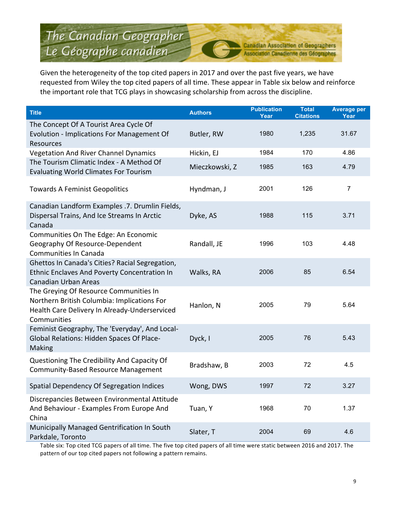**Canadian Association of Geographers** Association Canadienne des Géographes

Given the heterogeneity of the top cited papers in 2017 and over the past five years, we have requested from Wiley the top cited papers of all time. These appear in Table six below and reinforce the important role that TCG plays in showcasing scholarship from across the discipline.

| <b>Title</b>                                                                                                                                          | <b>Authors</b> | <b>Publication</b><br>Year | <b>Total</b><br><b>Citations</b> | <b>Average per</b><br>Year |
|-------------------------------------------------------------------------------------------------------------------------------------------------------|----------------|----------------------------|----------------------------------|----------------------------|
| The Concept Of A Tourist Area Cycle Of<br>Evolution - Implications For Management Of<br>Resources                                                     | Butler, RW     | 1980                       | 1,235                            | 31.67                      |
| <b>Vegetation And River Channel Dynamics</b>                                                                                                          | Hickin, EJ     | 1984                       | 170                              | 4.86                       |
| The Tourism Climatic Index - A Method Of<br><b>Evaluating World Climates For Tourism</b>                                                              | Mieczkowski, Z | 1985                       | 163                              | 4.79                       |
| <b>Towards A Feminist Geopolitics</b>                                                                                                                 | Hyndman, J     | 2001                       | 126                              | $\overline{7}$             |
| Canadian Landform Examples .7. Drumlin Fields,<br>Dispersal Trains, And Ice Streams In Arctic<br>Canada                                               | Dyke, AS       | 1988                       | 115                              | 3.71                       |
| Communities On The Edge: An Economic<br>Geography Of Resource-Dependent<br>Communities In Canada                                                      | Randall, JE    | 1996                       | 103                              | 4.48                       |
| Ghettos In Canada's Cities? Racial Segregation,<br>Ethnic Enclaves And Poverty Concentration In<br><b>Canadian Urban Areas</b>                        | Walks, RA      | 2006                       | 85                               | 6.54                       |
| The Greying Of Resource Communities In<br>Northern British Columbia: Implications For<br>Health Care Delivery In Already-Underserviced<br>Communities | Hanlon, N      | 2005                       | 79                               | 5.64                       |
| Feminist Geography, The 'Everyday', And Local-<br>Global Relations: Hidden Spaces Of Place-<br>Making                                                 | Dyck, I        | 2005                       | 76                               | 5.43                       |
| Questioning The Credibility And Capacity Of<br>Community-Based Resource Management                                                                    | Bradshaw, B    | 2003                       | 72                               | 4.5                        |
| Spatial Dependency Of Segregation Indices                                                                                                             | Wong, DWS      | 1997                       | 72                               | 3.27                       |
| Discrepancies Between Environmental Attitude<br>And Behaviour - Examples From Europe And<br>China                                                     | Tuan, Y        | 1968                       | 70                               | 1.37                       |
| Municipally Managed Gentrification In South<br>Parkdale, Toronto                                                                                      | Slater, T      | 2004                       | 69                               | 4.6                        |

Table six: Top cited TCG papers of all time. The five top cited papers of all time were static between 2016 and 2017. The pattern of our top cited papers not following a pattern remains.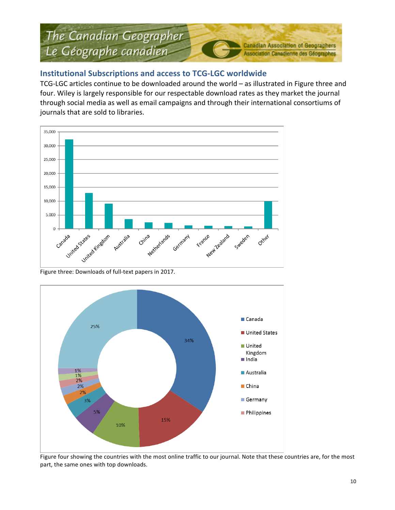## **Institutional Subscriptions and access to TCG-LGC worldwide**

TCG-LGC articles continue to be downloaded around the world – as illustrated in Figure three and four. Wiley is largely responsible for our respectable download rates as they market the journal through social media as well as email campaigns and through their international consortiums of journals that are sold to libraries.



Figure three: Downloads of full-text papers in 2017.



Figure four showing the countries with the most online traffic to our journal. Note that these countries are, for the most part, the same ones with top downloads.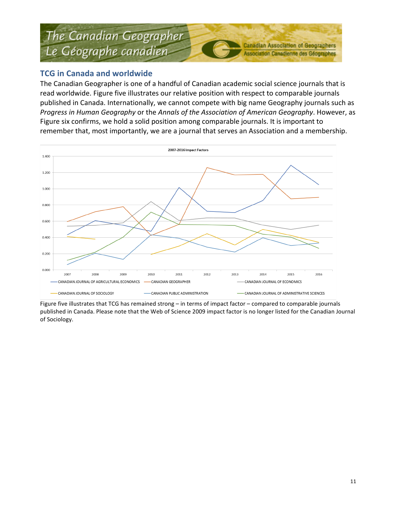### **TCG in Canada and worldwide**

The Canadian Geographer is one of a handful of Canadian academic social science journals that is read worldwide. Figure five illustrates our relative position with respect to comparable journals published in Canada. Internationally, we cannot compete with big name Geography journals such as *Progress in Human Geography* or the *Annals of the Association of American Geography*. However, as Figure six confirms, we hold a solid position among comparable journals. It is important to remember that, most importantly, we are a journal that serves an Association and a membership.



Figure five illustrates that TCG has remained strong – in terms of impact factor – compared to comparable journals published in Canada. Please note that the Web of Science 2009 impact factor is no longer listed for the Canadian Journal of Sociology.